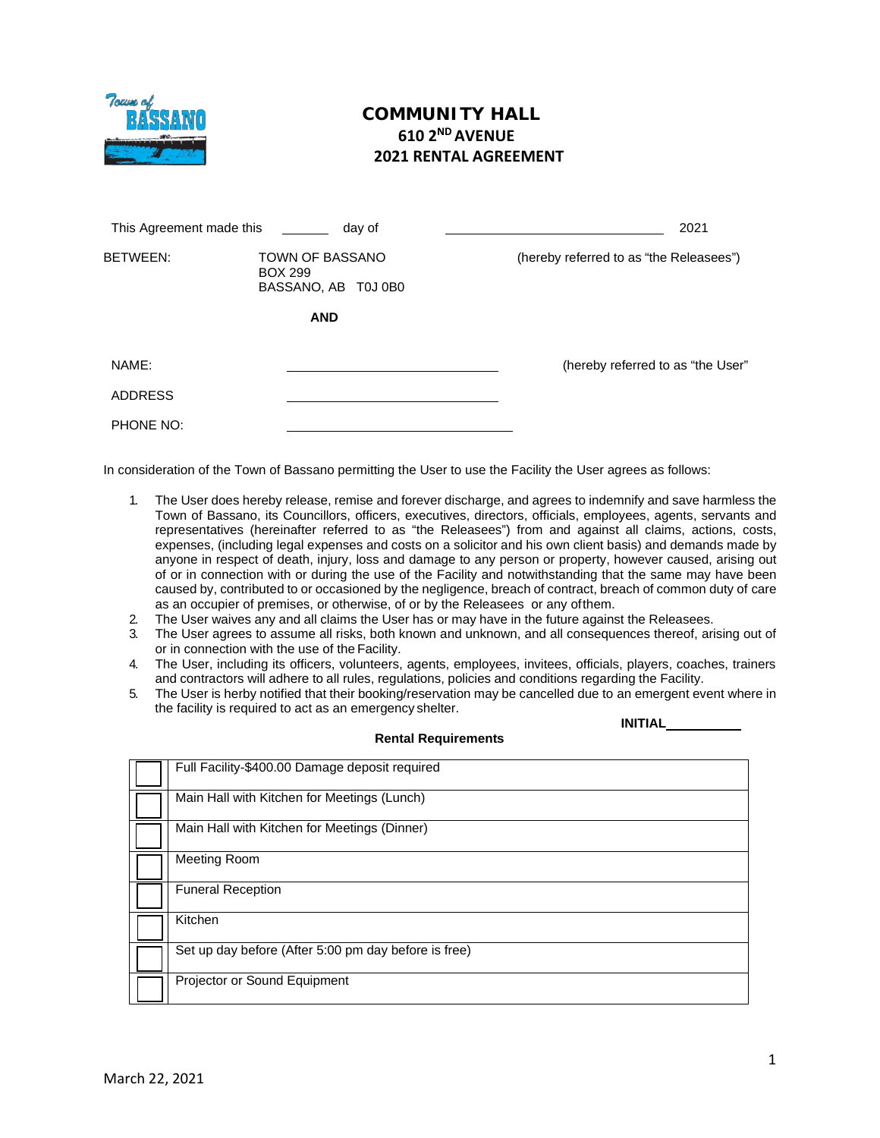

# **COMMUNITY HALL 610 2ND AVENUE 2021 RENTAL AGREEMENT**

| day of     | 2021                                                            |
|------------|-----------------------------------------------------------------|
|            | (hereby referred to as "the Releasees")                         |
| <b>AND</b> |                                                                 |
|            | (hereby referred to as "the User"                               |
|            |                                                                 |
|            |                                                                 |
|            | <b>TOWN OF BASSANO</b><br><b>BOX 299</b><br>BASSANO, AB T0J 0B0 |

In consideration of the Town of Bassano permitting the User to use the Facility the User agrees as follows:

- 1. The User does hereby release, remise and forever discharge, and agrees to indemnify and save harmless the Town of Bassano, its Councillors, officers, executives, directors, officials, employees, agents, servants and representatives (hereinafter referred to as "the Releasees") from and against all claims, actions, costs, expenses, (including legal expenses and costs on a solicitor and his own client basis) and demands made by anyone in respect of death, injury, loss and damage to any person or property, however caused, arising out of or in connection with or during the use of the Facility and notwithstanding that the same may have been caused by, contributed to or occasioned by the negligence, breach of contract, breach of common duty of care as an occupier of premises, or otherwise, of or by the Releasees or any ofthem.
- 2. The User waives any and all claims the User has or may have in the future against the Releasees.
- 3. The User agrees to assume all risks, both known and unknown, and all consequences thereof, arising out of or in connection with the use of the Facility.
- 4. The User, including its officers, volunteers, agents, employees, invitees, officials, players, coaches, trainers and contractors will adhere to all rules, regulations, policies and conditions regarding the Facility.
- 5. The User is herby notified that their booking/reservation may be cancelled due to an emergent event where in the facility is required to act as an emergency shelter.

**INITIAL**

| Full Facility-\$400.00 Damage deposit required       |
|------------------------------------------------------|
| Main Hall with Kitchen for Meetings (Lunch)          |
| Main Hall with Kitchen for Meetings (Dinner)         |
| Meeting Room                                         |
| <b>Funeral Reception</b>                             |
| Kitchen                                              |
| Set up day before (After 5:00 pm day before is free) |
| Projector or Sound Equipment                         |

#### **Rental Requirements**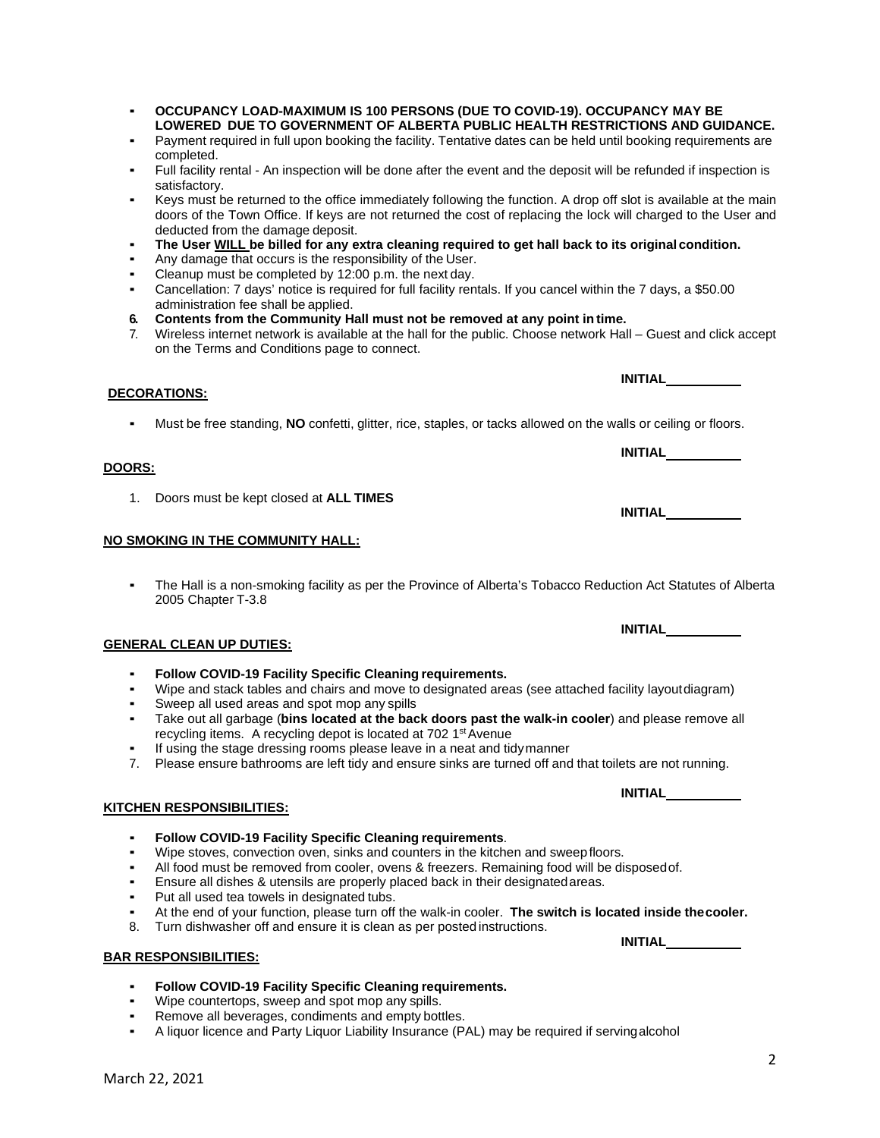#### ▪ **OCCUPANCY LOAD-MAXIMUM IS 100 PERSONS (DUE TO COVID-19). OCCUPANCY MAY BE LOWERED DUE TO GOVERNMENT OF ALBERTA PUBLIC HEALTH RESTRICTIONS AND GUIDANCE.**

- Payment required in full upon booking the facility. Tentative dates can be held until booking requirements are completed.
- Full facility rental An inspection will be done after the event and the deposit will be refunded if inspection is satisfactory.
- Keys must be returned to the office immediately following the function. A drop off slot is available at the main doors of the Town Office. If keys are not returned the cost of replacing the lock will charged to the User and deducted from the damage deposit.
- The User WILL be billed for any extra cleaning required to get hall back to its original condition.
- Any damage that occurs is the responsibility of the User.
- Cleanup must be completed by 12:00 p.m. the next day.
- Cancellation: 7 days' notice is required for full facility rentals. If you cancel within the 7 days, a \$50.00 administration fee shall be applied.
- **6. Contents from the Community Hall must not be removed at any point in time.**
- 7. Wireless internet network is available at the hall for the public. Choose network Hall Guest and click accept on the Terms and Conditions page to connect.

## ▪ Must be free standing, **NO** confetti, glitter, rice, staples, or tacks allowed on the walls or ceiling or floors.

1. Doors must be kept closed at **ALL TIMES**

## **NO SMOKING IN THE COMMUNITY HALL:**

▪ The Hall is a non-smoking facility as per the Province of Alberta's Tobacco Reduction Act Statutes of Alberta 2005 Chapter T-3.8

## **GENERAL CLEAN UP DUTIES:**

**DECORATIONS:**

**DOORS:**

- **Follow COVID-19 Facility Specific Cleaning requirements.**
- Wipe and stack tables and chairs and move to designated areas (see attached facility layout diagram)
- Sweep all used areas and spot mop any spills
- Take out all garbage (bins located at the back doors past the walk-in cooler) and please remove all recycling items. A recycling depot is located at 702 1<sup>st</sup> Avenue
- If using the stage dressing rooms please leave in a neat and tidy manner
- 7. Please ensure bathrooms are left tidy and ensure sinks are turned off and that toilets are not running.

# **KITCHEN RESPONSIBILITIES:**

- **Follow COVID-19 Facility Specific Cleaning requirements**.
- Wipe stoves, convection oven, sinks and counters in the kitchen and sweep floors.<br>■ All food must be removed from cooler, ovens & freezers, Remaining food will be div
- All food must be removed from cooler, ovens & freezers. Remaining food will be disposed of.
- **Ensure all dishes & utensils are properly placed back in their designated areas.**
- Put all used tea towels in designated tubs.
- At the end of your function, please turn off the walk-in cooler. **The switch is located inside thecooler.**
- 8. Turn dishwasher off and ensure it is clean as per posted instructions.

# **BAR RESPONSIBILITIES:**

- **Follow COVID-19 Facility Specific Cleaning requirements.**
- Wipe countertops, sweep and spot mop any spills.
- Remove all beverages, condiments and empty bottles.
- A liquor licence and Party Liquor Liability Insurance (PAL) may be required if servingalcohol

**INITIAL**

**INITIAL**

**INITIAL**

**INITIAL**

**INITIAL**

**INITIAL**

2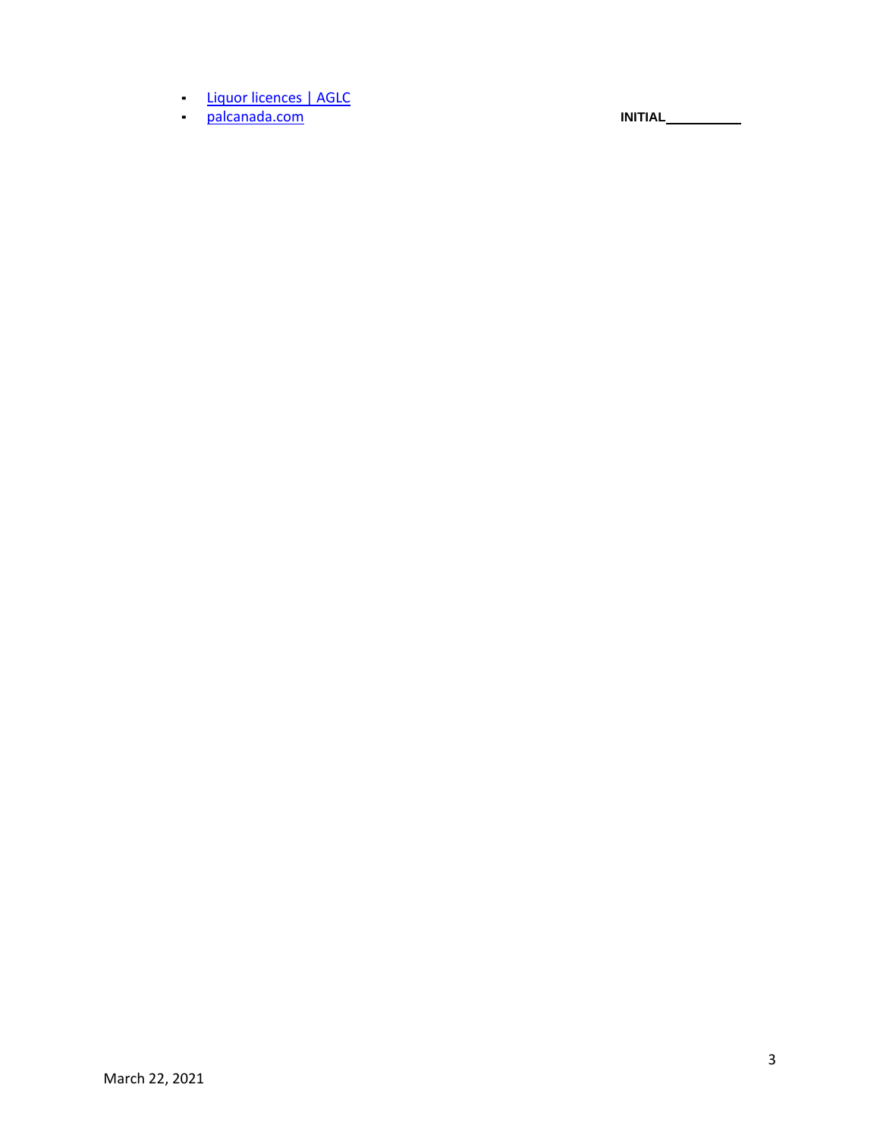- **[Liquor licences |](https://aglc.ca/liquor/liquor-licences) AGLC**
- [palcanada.com](https://www.palcanada.com/index.php/en-us/) **INITIAL**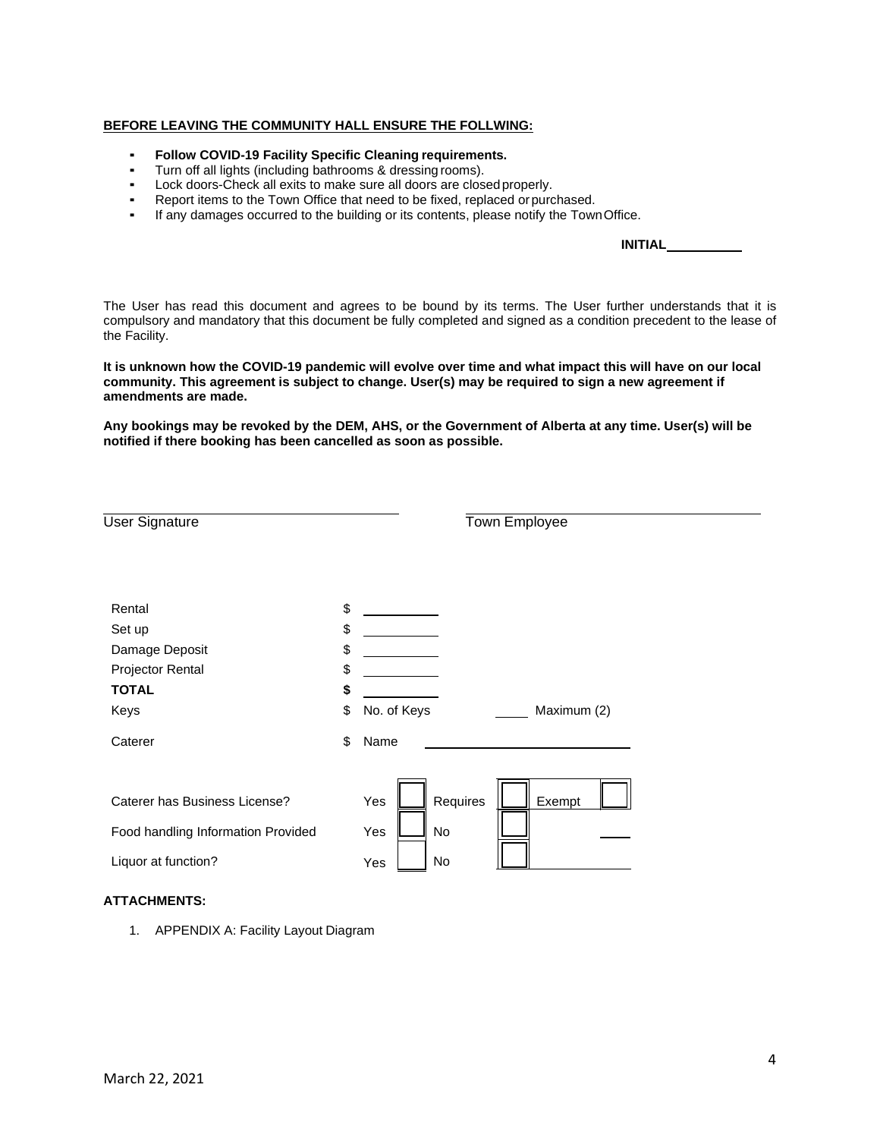#### **BEFORE LEAVING THE COMMUNITY HALL ENSURE THE FOLLWING:**

- **Follow COVID-19 Facility Specific Cleaning requirements.**
- Turn off all lights (including bathrooms & dressing rooms).
- Lock doors-Check all exits to make sure all doors are closedproperly.
- **Report items to the Town Office that need to be fixed, replaced or purchased.**<br>• If any damages occurred to the building or its contents, please potify the Town
- If any damages occurred to the building or its contents, please notify the Town Office.

**INITIAL**

The User has read this document and agrees to be bound by its terms. The User further understands that it is compulsory and mandatory that this document be fully completed and signed as a condition precedent to the lease of the Facility.

**It is unknown how the COVID-19 pandemic will evolve over time and what impact this will have on our local community. This agreement is subject to change. User(s) may be required to sign a new agreement if amendments are made.**

**Any bookings may be revoked by the DEM, AHS, or the Government of Alberta at any time. User(s) will be notified if there booking has been cancelled as soon as possible.**

| <b>User Signature</b>                                                                      | <b>Town Employee</b>                                           |  |
|--------------------------------------------------------------------------------------------|----------------------------------------------------------------|--|
| Rental<br>Set up<br>Damage Deposit<br>Projector Rental<br><b>TOTAL</b><br>Keys             | \$<br>\$<br>\$<br>\$<br>\$<br>\$<br>Maximum (2)<br>No. of Keys |  |
| Caterer                                                                                    | \$<br>Name                                                     |  |
| Caterer has Business License?<br>Food handling Information Provided<br>Liquor at function? | Requires<br>Exempt<br>Yes<br>No<br>Yes<br>No<br>Yes            |  |

## **ATTACHMENTS:**

1. APPENDIX A: Facility Layout Diagram